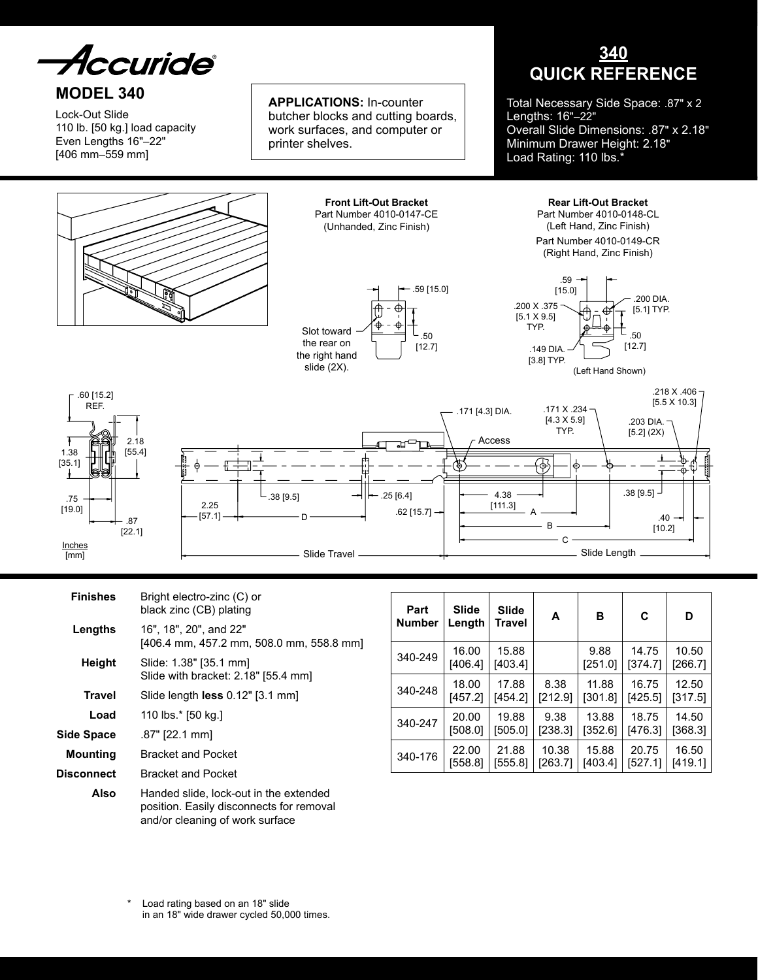*Accuride* 

# **MODEL 340**

Lock-Out Slide 110 lb. [50 kg.] load capacity Even Lengths 16"–22" [406 mm–559 mm]

**Applications:** In-counter butcher blocks and cutting boards, work surfaces, and computer or printer shelves.

# **340 QUICK REFERENCE**

Total Necessary Side Space: .87" x 2 Lengths: 16"–22" Overall Slide Dimensions: .87" x 2.18" Minimum Drawer Height: 2.18" Load Rating: 110 lbs.<sup>\*</sup>

> **Rear Lift-Out Bracket** Part Number 4010-0148-CL (Left Hand, Zinc Finish) Part Number 4010-0149-CR (Right Hand, Zinc Finish)





**Front Lift-Out Bracket** Part Number 4010-0147-CE (Unhanded, Zinc Finish)



(Left Hand Shown)



| <b>Finishes</b> | Bright electro-zinc (C) or<br>black zinc (CB) plating                                                                 |  |  |  |
|-----------------|-----------------------------------------------------------------------------------------------------------------------|--|--|--|
| Lengths         | 16", 18", 20", and 22"<br>[406.4 mm, 457.2 mm, 508.0 mm, 558.8 mm]                                                    |  |  |  |
| Height          | Slide: 1.38" [35.1 mm]<br>Slide with bracket: 2.18" [55.4 mm]                                                         |  |  |  |
| Travel          | Slide length $less 0.12"$ [3.1 mm]                                                                                    |  |  |  |
| Load            | 110 lbs.* [50 kg.]                                                                                                    |  |  |  |
| Side Space      | .87" [22.1 mm]                                                                                                        |  |  |  |
| <b>Mounting</b> | <b>Bracket and Pocket</b>                                                                                             |  |  |  |
| Disconnect      | <b>Bracket and Pocket</b>                                                                                             |  |  |  |
| Also            | Handed slide, lock-out in the extended<br>position. Easily disconnects for removal<br>and/or cleaning of work surface |  |  |  |

| Part<br><b>Number</b> | <b>Slide</b><br>Length | <b>Slide</b><br>Travel | A       | в               | C                | D                |
|-----------------------|------------------------|------------------------|---------|-----------------|------------------|------------------|
| 340-249               | 16.00<br>[406.4]       | 15.88<br>[403.4]       |         | 9.88<br>[251.0] | 14.75<br>[374.7] | 10.50<br>[266.7] |
| 340-248               | 18.00                  | 17.88                  | 8.38    | 11.88           | 16.75            | 12.50            |
|                       | [457.2]                | [454.2]                | [212.9] | [301.8]         | [425.5]          | [317.5]          |
| 340-247               | 20.00                  | 19.88                  | 9.38    | 13.88           | 18.75            | 14.50            |
|                       | [508.0]                | [505.0]                | [238.3] | [352.6]         | [476.3]          | [368.3]          |
| 340-176               | 22.00                  | 21.88                  | 10.38   | 15.88           | 20.75            | 16.50            |
|                       | [558.8]                | [555.8]                | [263.7] | [403.4]         | [527.1]          | [419.1]          |

Load rating based on an 18" slide in an 18" wide drawer cycled 50,000 times.